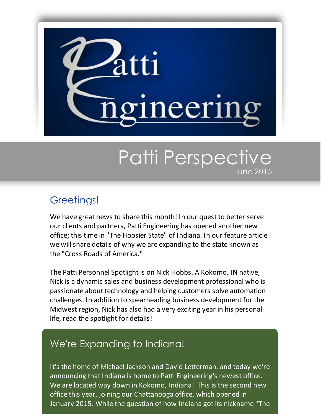

## Patti Perspective June 2015

## Greetings!

We have great news to share this month! In our quest to better serve our clients and partners, Patti Engineering has opened another new office; this time in "The Hoosier State" of Indiana. In our feature article we will share details of why we are expanding to the state known as the "Cross Roads of America."

The Patti Personnel Spotlight is on Nick Hobbs. A Kokomo, IN native, Nick is a dynamic sales and business development professional who is passionate about technology and helping customers solve automation challenges. In addition to spearheading business development for the Midwest region, Nick has also had a very exciting year in his personal life, read the spotlight for details!

## We're Expanding to Indiana!

It's the home of Michael Jackson and David Letterman, and today we're announcing that Indiana is home to Patti Engineering's newest office. We are located way down in Kokomo, Indiana! This is the second new office this year, joining our Chattanooga office, which opened in January 2015. While the question of how Indiana got its nickname "The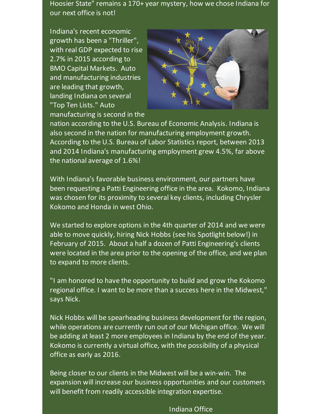Hoosier State" remains a 170+ year mystery, how we chose Indiana for our next office is not!

Indiana's recent economic growth has been a "Thriller", with real GDP expected to rise 2.7% in 2015 according to BMO Capital Markets. Auto and manufacturing industries are leading that growth, landing Indiana on several "Top Ten Lists." Auto manufacturing is second in the



nation according to the U.S. Bureau of Economic Analysis. Indiana is also second in the nation for manufacturing employment growth. According to the U.S. Bureau of Labor Statistics report, between 2013 and 2014 Indiana's manufacturing employment grew 4.5%, far above the national average of 1.6%!

With Indiana's favorable business environment, our partners have been requesting a Patti Engineering office in the area. Kokomo, Indiana was chosen for its proximity to several key clients, including Chrysler Kokomo and Honda in west Ohio.

We started to explore options in the 4th quarter of 2014 and we were able to move quickly, hiring Nick Hobbs (see his Spotlight below!) in February of 2015. About a half a dozen of Patti Engineering's clients were located in the area prior to the opening of the office, and we plan to expand to more clients.

"I am honored to have the opportunity to build and grow the Kokomo regional office. I want to be more than a success here in the Midwest," says Nick.

Nick Hobbs will be spearheading business development for the region, while operations are currently run out of our Michigan office. We will be adding at least 2 more employees in Indiana by the end of the year. Kokomo is currently a virtual office, with the possibility of a physical office as early as 2016.

Being closer to our clients in the Midwest will be a win-win. The expansion will increase our business opportunities and our customers will benefit from readily accessible integration expertise.

Indiana Office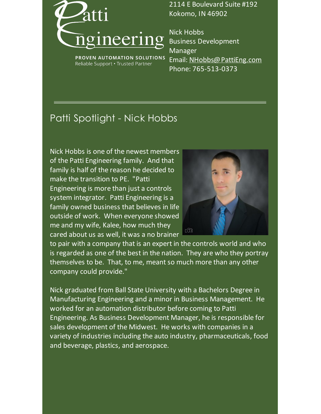

2114 E Boulevard Suite #192 Kokomo, IN 46902

PROVEN AUTOMATION SOLUTIONS Reliable Support . Trusted Partner

Nick Hobbs Business Development Manager Email: [NHobbs@PattiEng.com](mailto:nhobbs@pattieng.com) Phone: 765-513-0373

## Patti Spotlight - Nick Hobbs

Nick Hobbs is one of the newest members of the Patti Engineering family. And that family is half of the reason he decided to make the transition to PE. "Patti Engineering is more than just a controls system integrator. Patti Engineering is a family owned business that believes in life outside of work. When everyone showed me and my wife, Kalee, how much they cared about us as well, it was a no brainer



to pair with a company that is an expert in the controls world and who is regarded as one of the best in the nation. They are who they portray themselves to be. That, to me, meant so much more than any other company could provide."

Nick graduated from Ball State University with a Bachelors Degree in Manufacturing Engineering and a minor in Business Management. He worked for an automation distributor before coming to Patti Engineering. As Business Development Manager, he is responsible for sales development of the Midwest. He works with companies in a variety of industries including the auto industry, pharmaceuticals, food and beverage, plastics, and aerospace.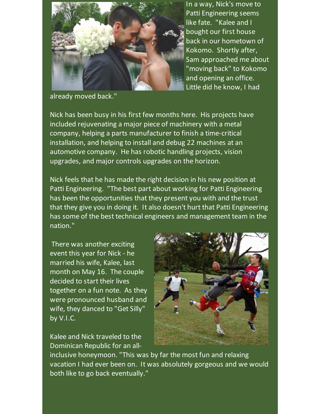

In a way, Nick's move to Patti Engineering seems like fate. "Kalee and I bought our first house back in our hometown of Kokomo. Shortly after, Sam approached me about "moving back" to Kokomo and opening an office. Little did he know, I had

already moved back."

Nick has been busy in his first few months here. His projects have included rejuvenating a major piece of machinery with a metal company, helping a parts manufacturer to finish a time-critical installation, and helping to install and debug 22 machines at an automotive company. He has robotic handling projects, vision upgrades, and major controls upgrades on the horizon.

Nick feels that he has made the right decision in his new position at Patti Engineering. "The best part about working for Patti Engineering has been the opportunities that they present you with and the trust that they give you in doing it. It also doesn't hurt that Patti Engineering has some of the best technical engineers and management team in the nation."

There was another exciting event this year for Nick - he married his wife, Kalee, last month on May 16. The couple decided to start their lives together on a fun note. As they were pronounced husband and wife, they danced to "Get Silly" by V.I.C.

Kalee and Nick traveled to the Dominican Republic for an all-



inclusive honeymoon. "This was by far the most fun and relaxing vacation I had ever been on. It was absolutely gorgeous and we would both like to go back eventually."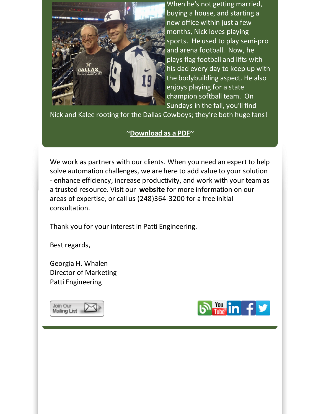

When he's not getting married, buying a house, and starting a new office within just a few months, Nick loves playing sports. He used to play semi-pro and arena football. Now, he plays flag football and lifts with his dad every day to keep up with the bodybuilding aspect. He also enjoys playing for a state champion softball team. On Sundays in the fall, you'll find

Nick and Kalee rooting for the Dallas Cowboys; they're both huge fans!

~**[Download](http://files.ctctcdn.com/59cb3837001/9c9633ca-af5c-4319-90c3-69e41f387518.pdf?utm_source=Patti+Perspective_June_2015&utm_campaign=Newsletter+June+2015&utm_medium=email) as a PDF**~

We work as partners with our clients. When you need an expert to help solve automation challenges, we are here to add value to your solution - enhance efficiency, increase productivity, and work with your team as a trusted resource. Visit our **[website](http://www.pattieng.com/?utm_source=Patti+Perspective_June_2015&utm_campaign=Newsletter+June+2015&utm_medium=email)** for more information on our areas of expertise, or call us (248)364-3200 for a free initial consultation.

Thank you for your interest in Patti Engineering.

Best regards,

Georgia H. Whalen Director of Marketing Patti Engineering